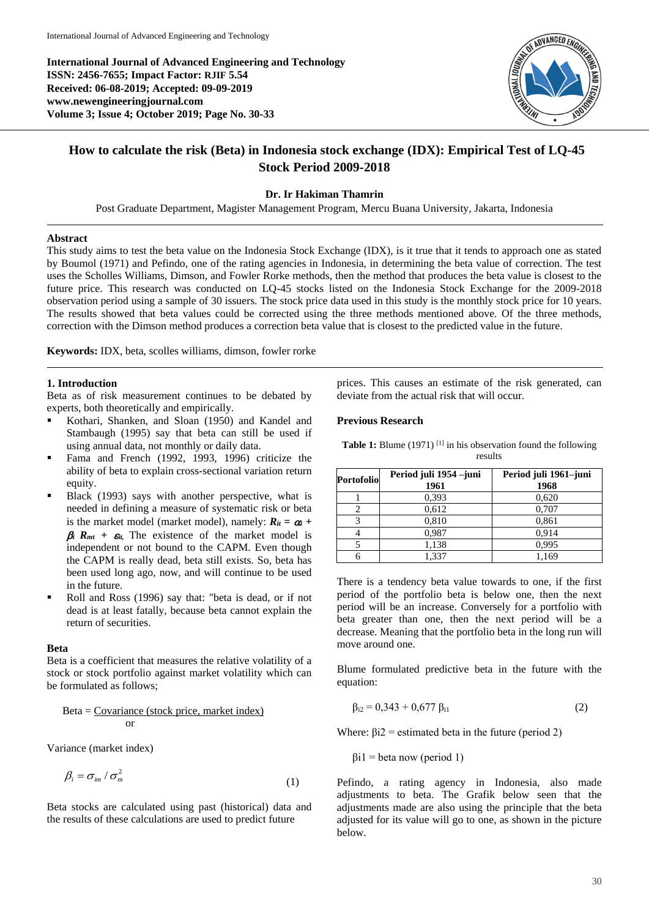**International Journal of Advanced Engineering and Technology ISSN: 2456-7655; Impact Factor: RJIF 5.54 Received: 06-08-2019; Accepted: 09-09-2019 www.newengineeringjournal.com Volume 3; Issue 4; October 2019; Page No. 30-33**



# **How to calculate the risk (Beta) in Indonesia stock exchange (IDX): Empirical Test of LQ-45 Stock Period 2009-2018**

## **Dr. Ir Hakiman Thamrin**

Post Graduate Department, Magister Management Program, Mercu Buana University, Jakarta, Indonesia

#### **Abstract**

This study aims to test the beta value on the Indonesia Stock Exchange (IDX), is it true that it tends to approach one as stated by Boumol (1971) and Pefindo, one of the rating agencies in Indonesia, in determining the beta value of correction. The test uses the Scholles Williams, Dimson, and Fowler Rorke methods, then the method that produces the beta value is closest to the future price. This research was conducted on LQ-45 stocks listed on the Indonesia Stock Exchange for the 2009-2018 observation period using a sample of 30 issuers. The stock price data used in this study is the monthly stock price for 10 years. The results showed that beta values could be corrected using the three methods mentioned above. Of the three methods, correction with the Dimson method produces a correction beta value that is closest to the predicted value in the future.

**Keywords:** IDX, beta, scolles williams, dimson, fowler rorke

#### **1. Introduction**

Beta as of risk measurement continues to be debated by experts, both theoretically and empirically.

- Kothari, Shanken, and Sloan (1950) and Kandel and Stambaugh (1995) say that beta can still be used if using annual data, not monthly or daily data.
- Fama and French (1992, 1993, 1996) criticize the ability of beta to explain cross-sectional variation return equity.
- Black (1993) says with another perspective, what is needed in defining a measure of systematic risk or beta is the market model (market model), namely:  $R_{it} = \alpha_i +$  $\mathbf{B}_i$  **R**<sub>*mt*</sub> +  $\mathbf{E}_i$ . The existence of the market model is independent or not bound to the CAPM. Even though the CAPM is really dead, beta still exists. So, beta has been used long ago, now, and will continue to be used in the future.
- Roll and Ross (1996) say that: "beta is dead, or if not dead is at least fatally, because beta cannot explain the return of securities.

#### **Beta**

Beta is a coefficient that measures the relative volatility of a stock or stock portfolio against market volatility which can be formulated as follows;

## $Beta = Covariance$  (stock price, market index) or

Variance (market index)

$$
\beta_i = \sigma_{im} / \sigma_m^2 \tag{1}
$$

Beta stocks are calculated using past (historical) data and the results of these calculations are used to predict future

prices. This causes an estimate of the risk generated, can deviate from the actual risk that will occur.

## **Previous Research**

| <b>Table 1:</b> Blume $(1971)$ <sup>[1]</sup> in his observation found the following |         |  |
|--------------------------------------------------------------------------------------|---------|--|
|                                                                                      | results |  |

| Portofolio | Period juli 1954 -juni<br>1961 | Period juli 1961-juni<br>1968 |  |  |
|------------|--------------------------------|-------------------------------|--|--|
|            | 0.393                          | 0,620                         |  |  |
|            | 0.612                          | 0,707                         |  |  |
|            | 0.810                          | 0,861                         |  |  |
|            | 0.987                          | 0.914                         |  |  |
|            | 1,138                          | 0.995                         |  |  |
|            | 1.337                          | 1,169                         |  |  |

There is a tendency beta value towards to one, if the first period of the portfolio beta is below one, then the next period will be an increase. Conversely for a portfolio with beta greater than one, then the next period will be a decrease. Meaning that the portfolio beta in the long run will move around one.

Blume formulated predictive beta in the future with the equation:

$$
\beta_{i2} = 0,343 + 0,677 \beta_{i1} \tag{2}
$$

Where:  $\beta i2$  = estimated beta in the future (period 2)

 $\beta$ i1 = beta now (period 1)

Pefindo, a rating agency in Indonesia, also made adjustments to beta. The Grafik below seen that the adjustments made are also using the principle that the beta adjusted for its value will go to one, as shown in the picture below.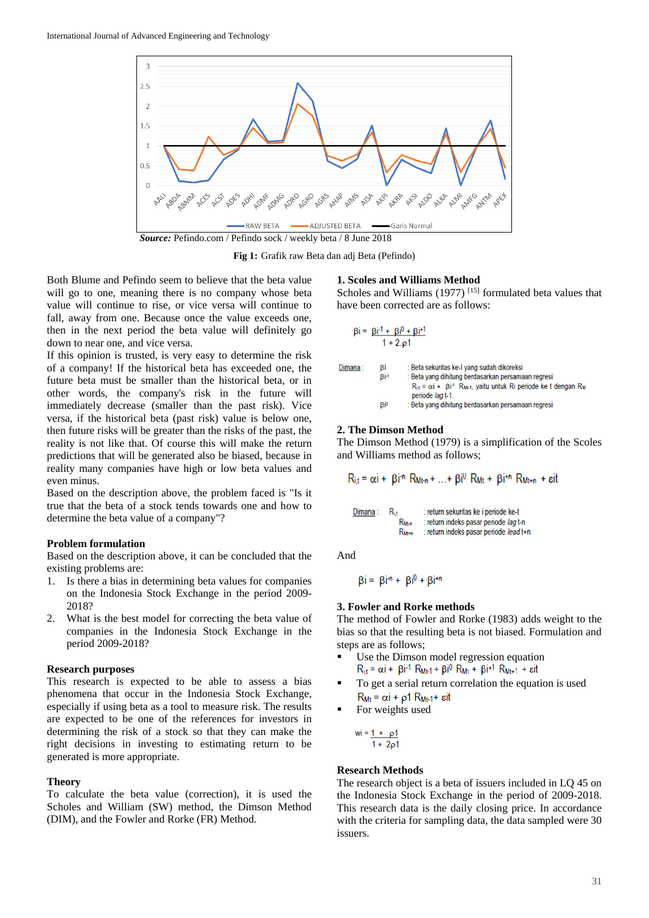

**Fig 1:** Grafik raw Beta dan adj Beta (Pefindo)

Both Blume and Pefindo seem to believe that the beta value will go to one, meaning there is no company whose beta value will continue to rise, or vice versa will continue to fall, away from one. Because once the value exceeds one, then in the next period the beta value will definitely go down to near one, and vice versa.

If this opinion is trusted, is very easy to determine the risk of a company! If the historical beta has exceeded one, the future beta must be smaller than the historical beta, or in other words, the company's risk in the future will immediately decrease (smaller than the past risk). Vice versa, if the historical beta (past risk) value is below one, then future risks will be greater than the risks of the past, the reality is not like that. Of course this will make the return predictions that will be generated also be biased, because in reality many companies have high or low beta values and even minus.

Based on the description above, the problem faced is "Is it true that the beta of a stock tends towards one and how to determine the beta value of a company"?

#### **Problem formulation**

Based on the description above, it can be concluded that the existing problems are:

- 1. Is there a bias in determining beta values for companies on the Indonesia Stock Exchange in the period 2009- 2018?
- 2. What is the best model for correcting the beta value of companies in the Indonesia Stock Exchange in the period 2009-2018?

#### **Research purposes**

This research is expected to be able to assess a bias phenomena that occur in the Indonesia Stock Exchange, especially if using beta as a tool to measure risk. The results are expected to be one of the references for investors in determining the risk of a stock so that they can make the right decisions in investing to estimating return to be generated is more appropriate.

#### **Theory**

To calculate the beta value (correction), it is used the Scholes and William (SW) method, the Dimson Method (DIM), and the Fowler and Rorke (FR) Method.

#### **1. Scoles and Williams Method**

Scholes and Williams (1977)<sup>[15]</sup> formulated beta values that have been corrected are as follows:

$$
\beta i = \frac{\beta i^{-1} + \beta i^{0} + \beta i^{+1}}{1 + 2.01}
$$

| Dimana: | B <sub>l</sub> | : Beta sekuritas ke-I vang sudah dikoreksi                                                                           |
|---------|----------------|----------------------------------------------------------------------------------------------------------------------|
|         | $Bi-1$         | : Beta yang dihitung berdasarkan persamaan regresi                                                                   |
| Bio     |                | $R_{it} = \alpha i + \beta i$ <sup>-1</sup> $R_{M+1}$ , vaitu untuk Ri periode ke t dengan $R_M$<br>periode lag t-1. |
|         |                | : Beta yang dihitung berdasarkan persamaan regresi                                                                   |

## **2. The Dimson Method**

The Dimson Method (1979) is a simplification of the Scoles and Williams method as follows;

$$
R_{i,t} = \alpha i + \beta i^{n} R_{Mt} + ... + \beta i^{0} R_{Mt} + \beta i^{n} R_{Mt} + \epsilon i t
$$

| Dimana: | $R_{it}$          | : return sekuritas ke i periode ke-t   |
|---------|-------------------|----------------------------------------|
|         | RM <sub>t-n</sub> | : return indeks pasar periode lag t-n  |
|         | $R_{Mt+n}$        | : return indeks pasar periode lead t+n |

And

$$
\beta i = \beta i^{n} + \beta i^{0} + \beta i^{+n}
$$

## **3. Fowler and Rorke methods**

The method of Fowler and Rorke (1983) adds weight to the bias so that the resulting beta is not biased. Formulation and steps are as follows;

- Use the Dimson model regression equation<br> $R_{i,t} = \alpha i + \beta i^1 R_{Mt+1} + \beta i^0 R_{Mt} + \beta i^1 R_{Mt+1} + \epsilon i t$
- To get a serial return correlation the equation is used  $R_{Mt} = \alpha i + \rho 1 R_{Mt-1} + \epsilon i t$
- For weights used

$$
wi = \frac{1 + \rho 1}{1 + 2\rho 1}
$$

#### **Research Methods**

The research object is a beta of issuers included in LQ 45 on the Indonesia Stock Exchange in the period of 2009-2018. This research data is the daily closing price. In accordance with the criteria for sampling data, the data sampled were 30 issuers.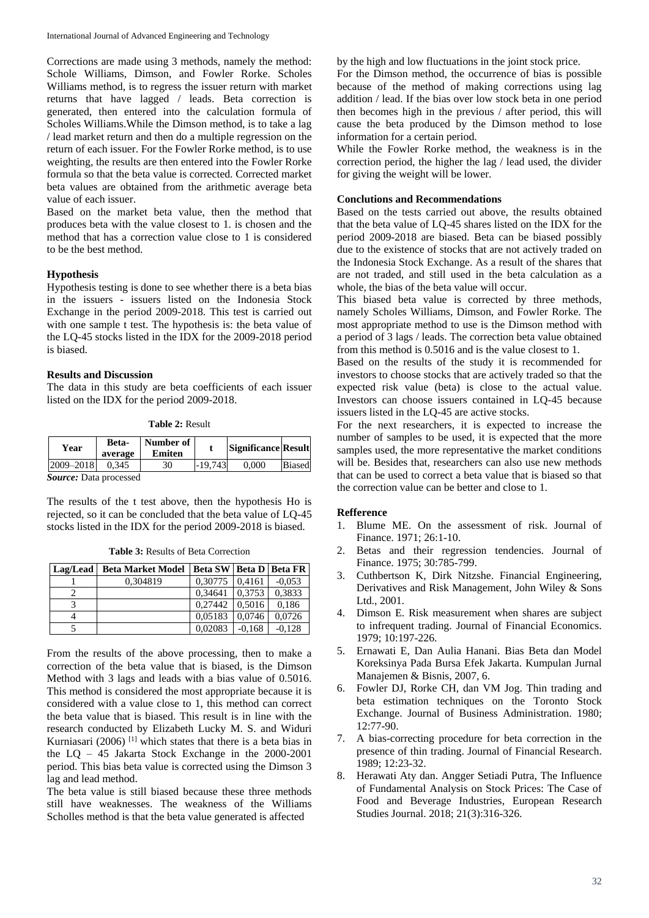Corrections are made using 3 methods, namely the method: Schole Williams, Dimson, and Fowler Rorke. Scholes Williams method, is to regress the issuer return with market returns that have lagged / leads. Beta correction is generated, then entered into the calculation formula of Scholes Williams.While the Dimson method, is to take a lag / lead market return and then do a multiple regression on the return of each issuer. For the Fowler Rorke method, is to use weighting, the results are then entered into the Fowler Rorke formula so that the beta value is corrected. Corrected market beta values are obtained from the arithmetic average beta value of each issuer.

Based on the market beta value, then the method that produces beta with the value closest to 1. is chosen and the method that has a correction value close to 1 is considered to be the best method.

## **Hypothesis**

Hypothesis testing is done to see whether there is a beta bias in the issuers - issuers listed on the Indonesia Stock Exchange in the period 2009-2018. This test is carried out with one sample t test. The hypothesis is: the beta value of the LQ-45 stocks listed in the IDX for the 2009-2018 period is biased.

## **Results and Discussion**

The data in this study are beta coefficients of each issuer listed on the IDX for the period 2009-2018.

**Table 2:** Result

| Year                   | Beta-<br>average | Number of<br>Emiten |           | Significance Result |               |
|------------------------|------------------|---------------------|-----------|---------------------|---------------|
| 2009-2018              | 0.345            | 30                  | $-19.743$ | 0.000               | <b>Biased</b> |
| Saurce: Data processed |                  |                     |           |                     |               |

*Source:* Data processed

The results of the t test above, then the hypothesis Ho is rejected, so it can be concluded that the beta value of LQ-45 stocks listed in the IDX for the period 2009-2018 is biased.

**Table 3:** Results of Beta Correction

| Lag/Lead | <b>Beta Market Model</b> | Beta SW   Beta D   Beta FR |          |          |
|----------|--------------------------|----------------------------|----------|----------|
|          | 0.304819                 | 0.30775                    | 0.4161   | $-0.053$ |
|          |                          | 0.34641                    | 0.3753   | 0.3833   |
|          |                          | 0.27442                    | 0.5016   | 0,186    |
|          |                          | 0,05183                    | 0.0746   | 0.0726   |
|          |                          | 0.02083                    | $-0.168$ | $-0.128$ |

From the results of the above processing, then to make a correction of the beta value that is biased, is the Dimson Method with 3 lags and leads with a bias value of 0.5016. This method is considered the most appropriate because it is considered with a value close to 1, this method can correct the beta value that is biased. This result is in line with the research conducted by Elizabeth Lucky M. S. and Widuri Kurniasari (2006) <sup>[1]</sup> which states that there is a beta bias in the LQ – 45 Jakarta Stock Exchange in the 2000-2001 period. This bias beta value is corrected using the Dimson 3 lag and lead method.

The beta value is still biased because these three methods still have weaknesses. The weakness of the Williams Scholles method is that the beta value generated is affected

by the high and low fluctuations in the joint stock price.

For the Dimson method, the occurrence of bias is possible because of the method of making corrections using lag addition / lead. If the bias over low stock beta in one period then becomes high in the previous / after period, this will cause the beta produced by the Dimson method to lose information for a certain period.

While the Fowler Rorke method, the weakness is in the correction period, the higher the lag / lead used, the divider for giving the weight will be lower.

## **Conclutions and Recommendations**

Based on the tests carried out above, the results obtained that the beta value of LQ-45 shares listed on the IDX for the period 2009-2018 are biased. Beta can be biased possibly due to the existence of stocks that are not actively traded on the Indonesia Stock Exchange. As a result of the shares that are not traded, and still used in the beta calculation as a whole, the bias of the beta value will occur.

This biased beta value is corrected by three methods, namely Scholes Williams, Dimson, and Fowler Rorke. The most appropriate method to use is the Dimson method with a period of 3 lags / leads. The correction beta value obtained from this method is 0.5016 and is the value closest to 1.

Based on the results of the study it is recommended for investors to choose stocks that are actively traded so that the expected risk value (beta) is close to the actual value. Investors can choose issuers contained in LQ-45 because issuers listed in the LQ-45 are active stocks.

For the next researchers, it is expected to increase the number of samples to be used, it is expected that the more samples used, the more representative the market conditions will be. Besides that, researchers can also use new methods that can be used to correct a beta value that is biased so that the correction value can be better and close to 1.

## **Refference**

- 1. Blume ME. On the assessment of risk. Journal of Finance. 1971; 26:1-10.
- 2. Betas and their regression tendencies. Journal of Finance. 1975; 30:785-799.
- 3. Cuthbertson K, Dirk Nitzshe. Financial Engineering, Derivatives and Risk Management, John Wiley & Sons Ltd., 2001.
- 4. Dimson E. Risk measurement when shares are subject to infrequent trading. Journal of Financial Economics. 1979; 10:197-226.
- 5. Ernawati E, Dan Aulia Hanani. Bias Beta dan Model Koreksinya Pada Bursa Efek Jakarta. Kumpulan Jurnal Manajemen & Bisnis, 2007, 6.
- 6. Fowler DJ, Rorke CH, dan VM Jog. Thin trading and beta estimation techniques on the Toronto Stock Exchange. Journal of Business Administration. 1980; 12:77-90.
- 7. A bias-correcting procedure for beta correction in the presence of thin trading. Journal of Financial Research. 1989; 12:23-32.
- 8. Herawati Aty dan. Angger Setiadi Putra, The Influence of Fundamental Analysis on Stock Prices: The Case of Food and Beverage Industries, European Research Studies Journal. 2018; 21(3):316-326.